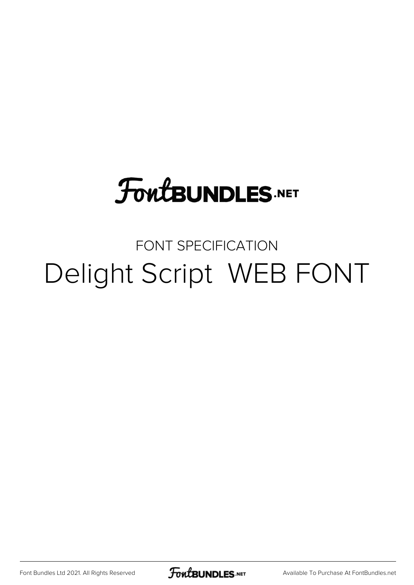## **FoutBUNDLES.NET**

## FONT SPECIFICATION Delight Script WEB FONT

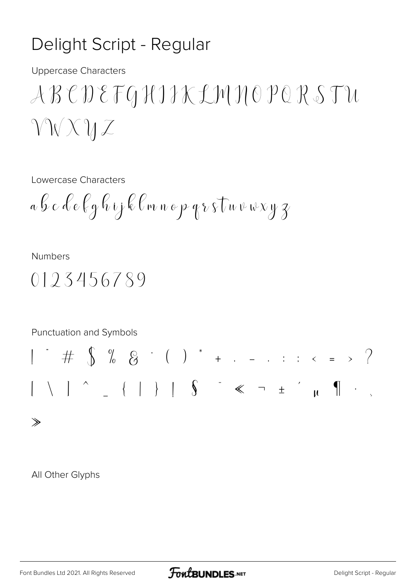## Delight Script - Regular

**Uppercase Characters** 

Lowercase Characters

$$
a\oint c\stackrel{\frown}{\ell}e\oint g\stackrel{\frown}{\ell}y\stackrel{\frown}{\ell}f\stackrel{\frown}{\ell}m\stackrel{\frown}{\ell}p\stackrel{\frown}{\ell}y\stackrel{\frown}{\ell}f\stackrel{\frown}{\ell}w\stackrel{\frown}{\nu}w\stackrel{\frown}{\nu}y\stackrel{\frown}{\chi}
$$

**Numbers** 

$$
0123456789\\
$$



All Other Glyphs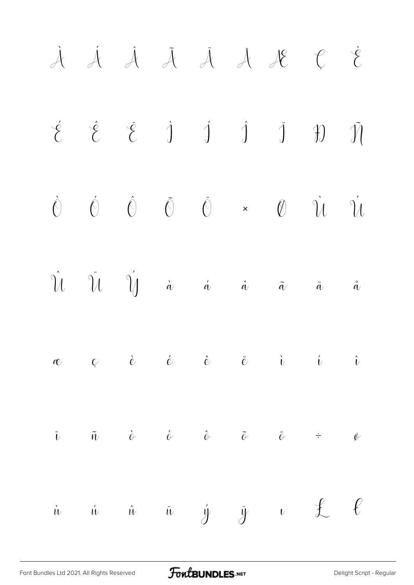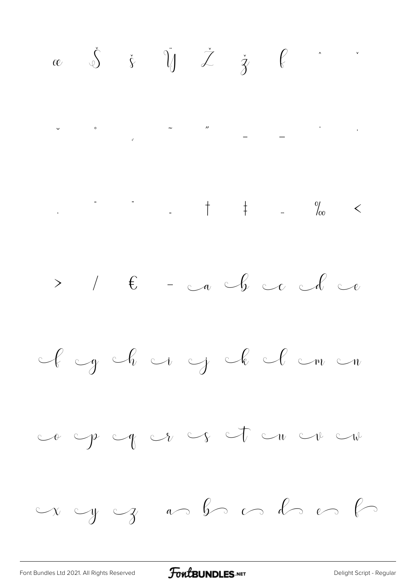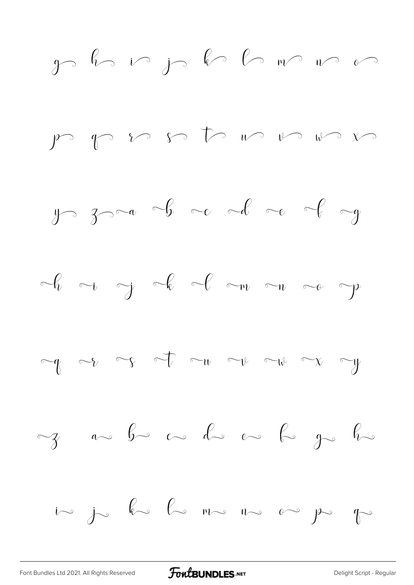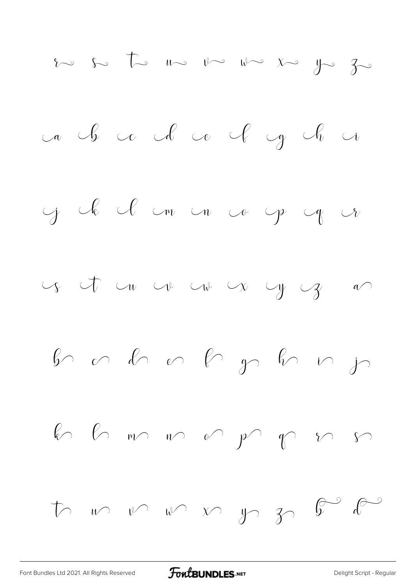